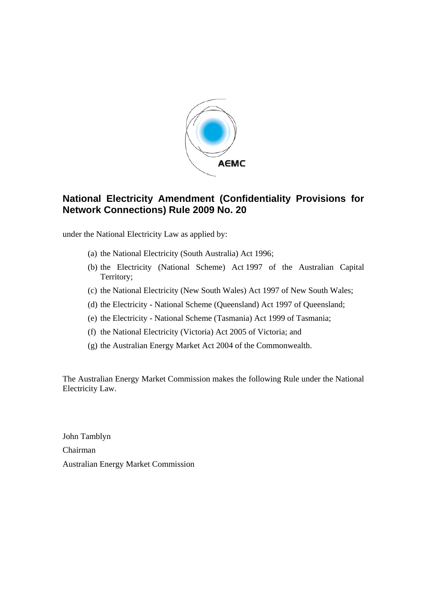

## **National Electricity Amendment (Confidentiality Provisions for Network Connections) Rule 2009 No. 20**

under the National Electricity Law as applied by:

- (a) the National Electricity (South Australia) Act 1996;
- (b) the Electricity (National Scheme) Act 1997 of the Australian Capital Territory;
- (c) the National Electricity (New South Wales) Act 1997 of New South Wales;
- (d) the Electricity National Scheme (Queensland) Act 1997 of Queensland;
- (e) the Electricity National Scheme (Tasmania) Act 1999 of Tasmania;
- (f) the National Electricity (Victoria) Act 2005 of Victoria; and
- (g) the Australian Energy Market Act 2004 of the Commonwealth.

The Australian Energy Market Commission makes the following Rule under the National Electricity Law.

John Tamblyn Chairman Australian Energy Market Commission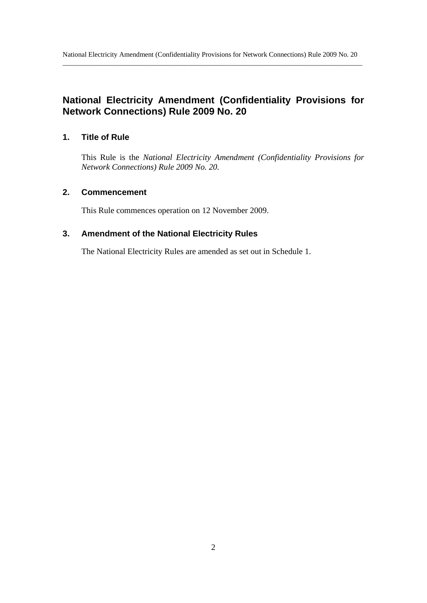# **National Electricity Amendment (Confidentiality Provisions for Network Connections) Rule 2009 No. 20**

### **1. Title of Rule**

This Rule is the *National Electricity Amendment (Confidentiality Provisions for Network Connections) Rule 2009 No. 20.* 

### **2. Commencement**

This Rule commences operation on 12 November 2009.

### **3. Amendment of the National Electricity Rules**

The National Electricity Rules are amended as set out in Schedule 1.